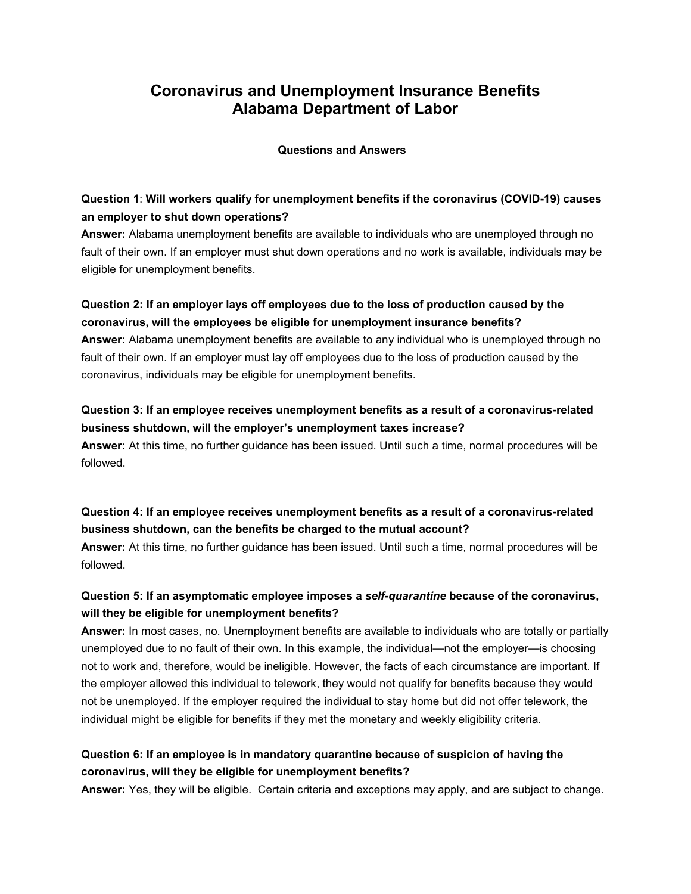# **Coronavirus and Unemployment Insurance Benefits Alabama Department of Labor**

**Questions and Answers**

## **Question 1**: **Will workers qualify for unemployment benefits if the coronavirus (COVID-19) causes an employer to shut down operations?**

**Answer:** Alabama unemployment benefits are available to individuals who are unemployed through no fault of their own. If an employer must shut down operations and no work is available, individuals may be eligible for unemployment benefits.

## **Question 2: If an employer lays off employees due to the loss of production caused by the coronavirus, will the employees be eligible for unemployment insurance benefits?**

**Answer:** Alabama unemployment benefits are available to any individual who is unemployed through no fault of their own. If an employer must lay off employees due to the loss of production caused by the coronavirus, individuals may be eligible for unemployment benefits.

## **Question 3: If an employee receives unemployment benefits as a result of a coronavirus-related business shutdown, will the employer's unemployment taxes increase? Answer:** At this time, no further guidance has been issued. Until such a time, normal procedures will be

followed.

**Question 4: If an employee receives unemployment benefits as a result of a coronavirus-related business shutdown, can the benefits be charged to the mutual account?**

**Answer:** At this time, no further guidance has been issued. Until such a time, normal procedures will be followed.

## **Question 5: If an asymptomatic employee imposes a** *self-quarantine* **because of the coronavirus, will they be eligible for unemployment benefits?**

**Answer:** In most cases, no. Unemployment benefits are available to individuals who are totally or partially unemployed due to no fault of their own. In this example, the individual—not the employer—is choosing not to work and, therefore, would be ineligible. However, the facts of each circumstance are important. If the employer allowed this individual to telework, they would not qualify for benefits because they would not be unemployed. If the employer required the individual to stay home but did not offer telework, the individual might be eligible for benefits if they met the monetary and weekly eligibility criteria.

## **Question 6: If an employee is in mandatory quarantine because of suspicion of having the coronavirus, will they be eligible for unemployment benefits?**

**Answer:** Yes, they will be eligible. Certain criteria and exceptions may apply, and are subject to change.